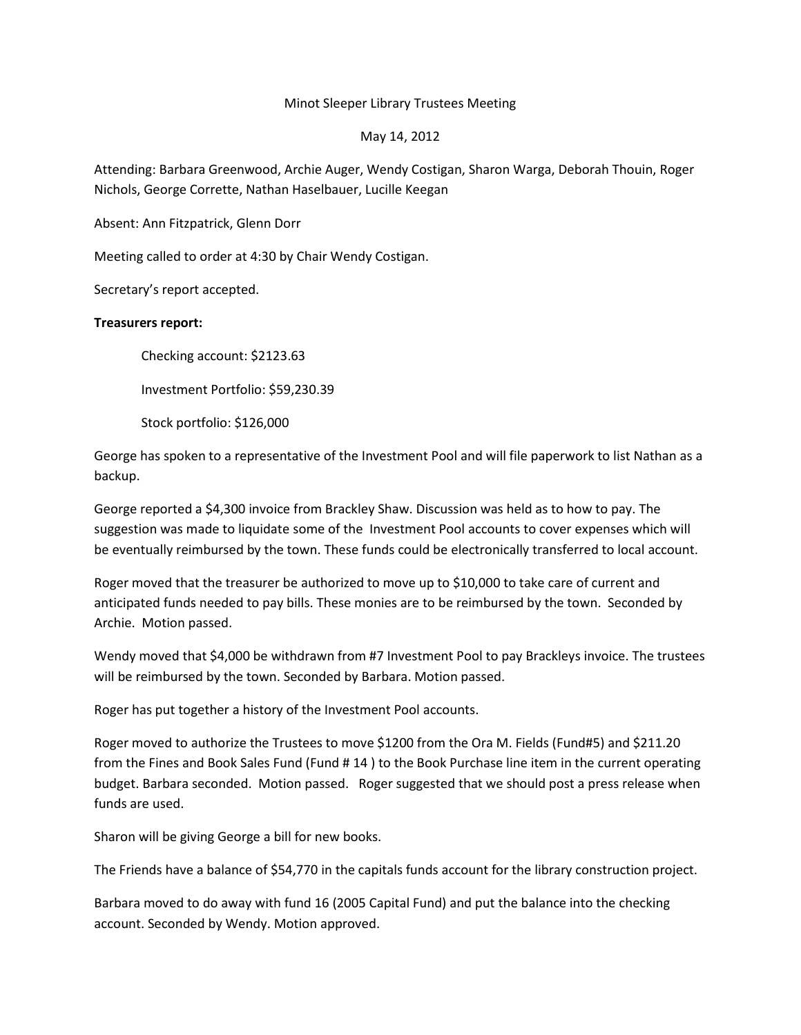## Minot Sleeper Library Trustees Meeting

## May 14, 2012

Attending: Barbara Greenwood, Archie Auger, Wendy Costigan, Sharon Warga, Deborah Thouin, Roger Nichols, George Corrette, Nathan Haselbauer, Lucille Keegan

Absent: Ann Fitzpatrick, Glenn Dorr

Meeting called to order at 4:30 by Chair Wendy Costigan.

Secretary's report accepted.

## **Treasurers report:**

Checking account: \$2123.63

Investment Portfolio: \$59,230.39

Stock portfolio: \$126,000

George has spoken to a representative of the Investment Pool and will file paperwork to list Nathan as a backup.

George reported a \$4,300 invoice from Brackley Shaw. Discussion was held as to how to pay. The suggestion was made to liquidate some of the Investment Pool accounts to cover expenses which will be eventually reimbursed by the town. These funds could be electronically transferred to local account.

Roger moved that the treasurer be authorized to move up to \$10,000 to take care of current and anticipated funds needed to pay bills. These monies are to be reimbursed by the town. Seconded by Archie. Motion passed.

Wendy moved that \$4,000 be withdrawn from #7 Investment Pool to pay Brackleys invoice. The trustees will be reimbursed by the town. Seconded by Barbara. Motion passed.

Roger has put together a history of the Investment Pool accounts.

Roger moved to authorize the Trustees to move \$1200 from the Ora M. Fields (Fund#5) and \$211.20 from the Fines and Book Sales Fund (Fund # 14 ) to the Book Purchase line item in the current operating budget. Barbara seconded. Motion passed. Roger suggested that we should post a press release when funds are used.

Sharon will be giving George a bill for new books.

The Friends have a balance of \$54,770 in the capitals funds account for the library construction project.

Barbara moved to do away with fund 16 (2005 Capital Fund) and put the balance into the checking account. Seconded by Wendy. Motion approved.